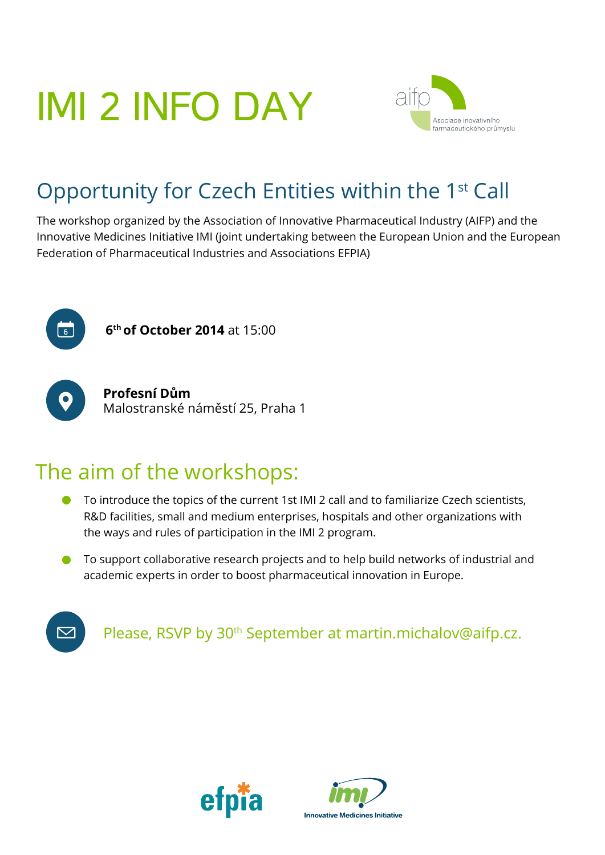## IMI 2 INFO DAY



## Opportunity for Czech Entities within the 1st Call

The workshop organized by the Association of Innovative Pharmaceutical Industry (AIFP) and the Innovative Medicines Initiative IMI (joint undertaking between the European Union and the European Federation of Pharmaceutical Industries and Associations EFPIA)



**6<sup>th</sup> of October 2014** at 15:00



**Profesní Dům** Malostranské náměstí 25, Praha 1

## The aim of the workshops:

- $\bullet$ To introduce the topics of the current 1st IMI 2 call and to familiarize Czech scientists, R&D facilities, small and medium enterprises, hospitals and other organizations with the ways and rules of participation in the IMI 2 program.
- To support collaborative research projects and to help build networks of industrial and academic experts in order to boost pharmaceutical innovation in Europe.



Please, RSVP by 30<sup>th</sup> September at [martin.michalov@aifp.cz.](mailto:martin.michalov@aifp.cz)